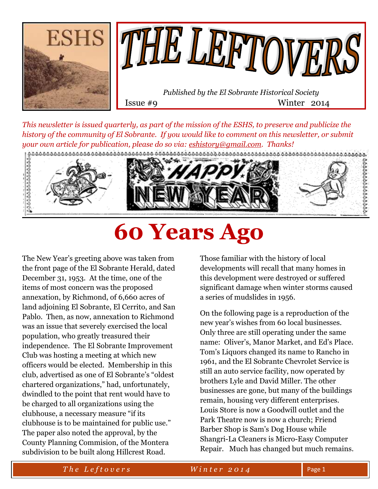



Issue #9 Winter 2014

*This newsletter is issued quarterly, as part of the mission of the ESHS, to preserve and publicize the history of the community of El Sobrante. If you would like to comment on this newsletter, or submit* 



# **60 Years Ago**

The New Year's greeting above was taken from the front page of the El Sobrante Herald, dated December 31, 1953. At the time, one of the items of most concern was the proposed annexation, by Richmond, of 6,660 acres of land adjoining El Sobrante, El Cerrito, and San Pablo. Then, as now, annexation to Richmond was an issue that severely exercised the local population, who greatly treasured their independence. The El Sobrante Improvement Club was hosting a meeting at which new officers would be elected. Membership in this club, advertised as one of El Sobrante's "oldest chartered organizations," had, unfortunately, dwindled to the point that rent would have to be charged to all organizations using the clubhouse, a necessary measure "if its clubhouse is to be maintained for public use." The paper also noted the approval, by the County Planning Commision, of the Montera subdivision to be built along Hillcrest Road.

Those familiar with the history of local developments will recall that many homes in this development were destroyed or suffered significant damage when winter storms caused a series of mudslides in 1956.

On the following page is a reproduction of the new year's wishes from 60 local businesses. Only three are still operating under the same name: Oliver's, Manor Market, and Ed's Place. Tom's Liquors changed its name to Rancho in 1961, and the El Sobrante Chevrolet Service is still an auto service facility, now operated by brothers Lyle and David Miller. The other businesses are gone, but many of the buildings remain, housing very different enterprises. Louis Store is now a Goodwill outlet and the Park Theatre now is now a church; Friend Barber Shop is Sam's Dog House while Shangri-La Cleaners is Micro-Easy Computer Repair. Much has changed but much remains.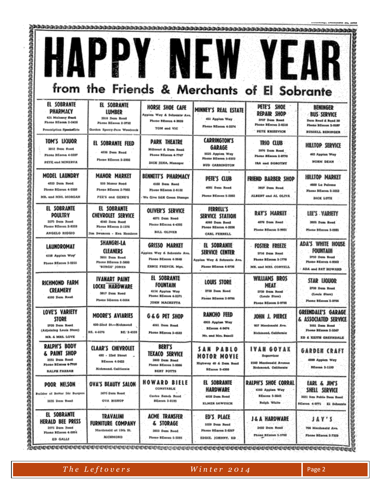|                                                                                                                   | $\mathbf{D} \setminus$<br><b>AP</b><br>from the Friends & Merchants of El Sobrante                     |                                                                                                       | NEW                                                                                                     | <b>YEA</b>                                                                                   |                                                                                                                         |
|-------------------------------------------------------------------------------------------------------------------|--------------------------------------------------------------------------------------------------------|-------------------------------------------------------------------------------------------------------|---------------------------------------------------------------------------------------------------------|----------------------------------------------------------------------------------------------|-------------------------------------------------------------------------------------------------------------------------|
| EL SOBRANTE<br>PHARMACY<br>425 Melower Englis<br>Phone BEquan 2-0416<br>Preensiption Specialists                  | EL SOBRANTE<br>LUMBER<br>2310 Dam Road<br>Plette EEerra 2-3732<br>Gurdon Speny-Pers Woodcock           | HORSE SHOE CAFE<br>Appista Way & Schemate Ave.<br><b>Floore Ellence 4-3035</b><br>TOM and VIC         | MINNEY'S REAL ESTATE<br>451 Appless Way<br>Phone Milanus 4-3574                                         | PETE'S SHOE<br>REPAIR SHOP<br>5737 Dam Road<br>Please XXeres 3-4516<br><b>FETE KRIZEVICH</b> | BENINGER<br><b>BUS SERVICE</b><br>Dam Hoad & Road 28<br>Phone Allianni 3-2587<br><b><i>STSIKLL</i></b> SENIMBER         |
| TOM'S LIQUOR<br>1912 Door Road<br>Phone 3Excon 4-0397<br><b>PETE ond MINERVA</b>                                  | EL SOBRANTE FEED<br>4036 Days Road<br>Phone EEocon 2-2502                                              | <b>PARK THEATRE</b><br><b>Hillstreet &amp; Dom Road</b><br>Phone Eliston 4-7747<br>DICK JERA, Manager | <b>CARRINGTON'S</b><br>GARAGE<br>9025 Apples Way<br><b>Floor EDoces 5-8303</b><br><b>BUD CARRINGTON</b> | TRIO CLUB<br>2372 Dam Road<br>Phone BEacon 2-0770<br>IRA und DOROTHY                         | <b>HILITOP SERVICE</b><br>413 Apples Way<br>HORM DEAM                                                                   |
| MODEL LAUNDRY<br>4320 Dem Rood.<br>23rde Blocus 4-0300<br>MR, and MRS, MORGAN                                     | <b>MANOR MARKET</b><br>535 Manur Bood<br>Phone Silveres 2-7582<br>FEE'S one GENET                      | BENNETT'S PHARMACY<br>4100 Dom Nood<br>Phone Silacan 2-6122<br>We Give S&K Green Stamps               | PETE'S CLUB<br>4081 Dates Board<br>Phone SEouse 5-2002                                                  | FRIEND BARBER SHOP<br><b>3917 Dens Road</b><br>ALBERT and AL OLIVA                           | HILLTOP MARKET<br>4500 Lu Falcana<br>Fhose Elianea 5-1052<br><b>DICK LUTS</b>                                           |
| EL SOBRANTE<br>POULTRY<br>3575 Dom Rood<br>Phone RDoom: 2-8353<br>ANGELO RIGGIO                                   | EL SOBRANTE<br>CHEVROLET SERVICE<br>4040 Date Road<br>Phine SEauso 5-1270<br>Jim Bergmon - Ken Hembros | <b>OLIVER'S SERVICE</b><br>4271 Dam Rood<br>Phone SEncan 4-4502<br><b>BILL OLIVER</b>                 | FERRELL'S<br>SERVICE STATION<br>4060 Dam Band<br>Phone Billecon 4-2076<br>CABL FERRELL                  | <b>RAY'S MARKET</b><br>4078 Done Road<br>Phone Billeoux 0-9932                               | LEE'S VARIETY<br>3035 Dear Road<br>Phone Bibecon 3-0081                                                                 |
| LAUNDROMAT<br>4158 Applan Woy'<br>Floor Skaces 2-3215                                                             | SHANGRI-LA<br><b>CLEANERS</b><br>3851 Date Road<br>Phone Eliscou 2-5880<br>"BUNGE" JONES               | <b>GRISSO MARKET</b><br>Apples Way & Schrotte Ave.<br>Plote Silecce 4-5645<br>ENNIE FRENCH, Mgr.      | EL SOBRANTE<br>SERVICE CENTER<br>Applisa Way & Schrente Ave.<br>Phone Milcoun 4-5735                    | <b>FOSTER FREEZE</b><br>3716 Dom Rood<br>Phone BEnone 3-1776<br>MR. 684 MRS. CORYELL         | ADA'S WHITE HOUSE<br>FOUNTAIN<br>9750 Dain Road<br>Plumo Ribecon 4-8562<br><b>ADA sed PAT HOWARD</b>                    |
| RICHMOND FARM<br><b>CREAMERY</b><br>4100 Dem Road                                                                 | <b>IVANART PAINT</b><br>LOCKE HARDWARE<br>5817 Dom Road<br>Phoby Siteren 4.0004                        | EL SOBRANTE<br>FOUNTAIN<br>4154 Applats Way<br>Phone BEston 4-2371<br><b>JOHN MACHETTA</b>            | LOUIS STORE<br>3738 Dons Road<br>Phone 35cores 2-9709                                                   | WILLIAMS BROS<br>MEAT<br>3750 Dens Road<br><b>CLouis Store)</b><br>Fireira Atlantes 2-0700   | STAR LIQUOR<br>2703 Dam Road<br>(Louis Store)<br>Fluore BEarces 2-9799                                                  |
| LOVE'S VARIETY<br><b>STORE</b><br>0930 Date Rook<br>(Adjoining Louis Store)<br>MR. & MRS. LOVE                    | MOORE'S AVIARIES<br>100-22sd St -- Richaread<br><b>BE, 4-6576</b><br>BE: 3-4533                        | G&G PET SHOP<br>4041 Days Bood<br>Phone BEcces 2-4533                                                 | <b>RANCHO FEED</b><br>4955 Applan Woy<br>32com 4-9674<br>Mr. and Mrs. Bessill                           | JOHN J. PIERCE<br>907 Mandsmald Ave.<br><b>Richissond, Culifornia</b>                        | GREENDALE'S GARAGE<br>& ASSOCIATED SERVICE<br>1981 Data Need<br>Fhone \$Econa 2-5347<br><b>XD &amp; KEYIN GREEKDALE</b> |
| <b>RALPH'S BODY</b><br><b>&amp; PAINT SHOP</b><br>3551 Dans Rood<br>Floane SEarces 4-7708<br><b>BALFIE FABBAR</b> | <b>CLAAR'S CHEVROLET</b><br>480 - 23rd Street<br><b>EDame 4-0422</b><br>Richtsend, California          | BERT'S<br><b>TEXACO SERVICE</b><br>2020 Demi Rond<br>Phone SEquas 2-\$596<br>SERT FOTTS               | SAN PABLO<br>MOTOR MOVIE<br>Highway 40 & Dam Bood<br><b>Bitsova 5-4300</b>                              | <b>IVAN GOYAK</b><br>Superviser<br>1560 Macdenald Avenue<br>Bichmend, Colifornia             | <b>GARDEN CRAFT</b><br>4980 Applice Way<br><b>Milanea</b> 3-1100                                                        |
| POOR NELSON<br>Builder of Bobler 540 Burgers<br>2035 Dam Need-                                                    | OVA'S BEAUTY SALON<br>3475 Eleits Hood<br><b>OVA BISHOP</b>                                            | <b>HOWARD BIELE</b><br>CONSTABLE<br>Costes Hench Rood<br><b>Billeonn 3-0195</b>                       | EL SOBRANTE<br>HARDWARE<br>4038 Date Road<br>KLMER SAWQSCH                                              | <b>RALPH'S SHOE CORRAL</b><br>4160 Applem Way<br>3Eacong 5-3545<br>Rolph White               | EARL & JIN'S<br>SHELL SERVICE<br>3521 San Poble Dem Book<br>SEacon 4-9771 . El debeunte                                 |
| EL SOBRANTE<br>HERALD BEE PRESS<br>3575 Dam Need<br>Phone Elloron 4-0004<br>ED GALLS                              | TRAVALINI<br>FURNITURE COMPANY<br>Mandensid of 19th St.<br><b>RICHMOND</b>                             | ACME TRANSFER<br>& STORAGE<br>5855 Door Rood<br>Phone SEacon 5-3185                                   | ED'S PLACE<br>5339 Dogs Road<br>Phone BRanns 2-6267<br>EDDEL JOHNNY, KD                                 | <b>J&amp;A HARDWARE</b><br>2420 Daim Road<br>Phreid 33 steen 5-5780                          | I Y 'S<br>706 Macdonald Ave.<br>Finns Bliases 2-7319                                                                    |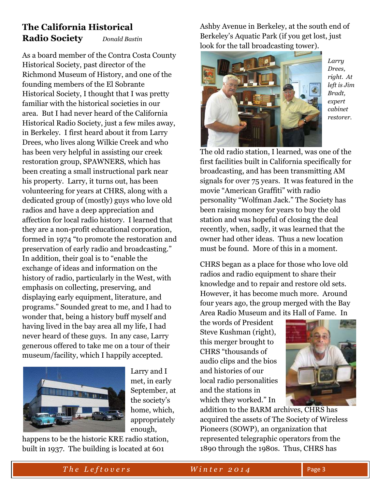## **The California Historical Radio Society** *Donald Bastin*

As a board member of the Contra Costa County Historical Society, past director of the Richmond Museum of History, and one of the founding members of the El Sobrante Historical Society, I thought that I was pretty familiar with the historical societies in our area. But I had never heard of the California Historical Radio Society, just a few miles away, in Berkeley. I first heard about it from Larry Drees, who lives along Wilkie Creek and who has been very helpful in assisting our creek restoration group, SPAWNERS, which has been creating a small instructional park near his property. Larry, it turns out, has been volunteering for years at CHRS, along with a dedicated group of (mostly) guys who love old radios and have a deep appreciation and affection for local radio history. I learned that they are a non-profit educational corporation, formed in 1974 "to promote the restoration and preservation of early radio and broadcasting." In addition, their goal is to "enable the exchange of ideas and information on the history of radio, particularly in the West, with emphasis on collecting, preserving, and displaying early equipment, literature, and programs." Sounded great to me, and I had to wonder that, being a history buff myself and having lived in the bay area all my life, I had never heard of these guys. In any case, Larry generous offered to take me on a tour of their museum/facility, which I happily accepted.



Larry and I met, in early September, at the society's home, which, appropriately enough,

happens to be the historic KRE radio station, built in 1937. The building is located at 601

Ashby Avenue in Berkeley, at the south end of Berkeley's Aquatic Park (if you get lost, just look for the tall broadcasting tower).



*Larry Drees, right. At left is Jim Bradt, expert cabinet restorer.*

The old radio station, I learned, was one of the first facilities built in California specifically for broadcasting, and has been transmitting AM signals for over 75 years. It was featured in the movie "American Graffiti" with radio personality "Wolfman Jack." The Society has been raising money for years to buy the old station and was hopeful of closing the deal recently, when, sadly, it was learned that the owner had other ideas. Thus a new location must be found. More of this in a moment.

CHRS began as a place for those who love old radios and radio equipment to share their knowledge and to repair and restore old sets. However, it has become much more. Around four years ago, the group merged with the Bay Area Radio Museum and its Hall of Fame. In

the words of President Steve Kushman (right), this merger brought to CHRS "thousands of audio clips and the bios and histories of our local radio personalities and the stations in which they worked." In



addition to the BARM archives, CHRS has acquired the assets of The Society of Wireless Pioneers (SOWP), an organization that represented telegraphic operators from the 1890 through the 1980s. Thus, CHRS has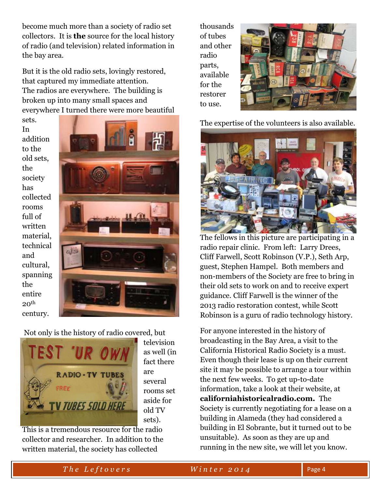become much more than a society of radio set collectors. It is **the** source for the local history of radio (and television) related information in the bay area.

But it is the old radio sets, lovingly restored, that captured my immediate attention. The radios are everywhere. The building is broken up into many small spaces and everywhere I turned there were more beautiful

sets. In addition to the old sets, the society has collected rooms full of written material, technical and cultural, spanning the entire  $20<sup>th</sup>$ century.



Not only is the history of radio covered, but



television as well (in fact there are several rooms set aside for old TV sets).

This is a tremendous resource for the radio collector and researcher. In addition to the written material, the society has collected

thousands of tubes and other radio parts, available for the restorer to use.



The expertise of the volunteers is also available.



The fellows in this picture are participating in a radio repair clinic. From left: Larry Drees, Cliff Farwell, Scott Robinson (V.P.), Seth Arp, guest, Stephen Hampel. Both members and non-members of the Society are free to bring in their old sets to work on and to receive expert guidance. Cliff Farwell is the winner of the 2013 radio restoration contest, while Scott Robinson is a guru of radio technology history.

For anyone interested in the history of broadcasting in the Bay Area, a visit to the California Historical Radio Society is a must. Even though their lease is up on their current site it may be possible to arrange a tour within the next few weeks. To get up-to-date information, take a look at their website, at **californiahistoricalradio.com.** The Society is currently negotiating for a lease on a building in Alameda (they had considered a building in El Sobrante, but it turned out to be unsuitable). As soon as they are up and running in the new site, we will let you know.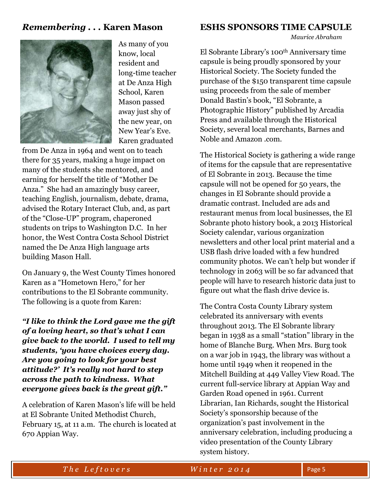#### *Remembering . . .* **Karen Mason**



As many of you know, local resident and long-time teacher at De Anza High School, Karen Mason passed away just shy of the new year, on New Year's Eve. Karen graduated

from De Anza in 1964 and went on to teach there for 35 years, making a huge impact on many of the students she mentored, and earning for herself the title of "Mother De Anza." She had an amazingly busy career, teaching English, journalism, debate, drama, advised the Rotary Interact Club, and, as part of the "Close-UP" program, chaperoned students on trips to Washington D.C. In her honor, the West Contra Costa School District named the De Anza High language arts building Mason Hall.

On January 9, the West County Times honored Karen as a "Hometown Hero," for her contributions to the El Sobrante community. The following is a quote from Karen:

*"I like to think the Lord gave me the gift of a loving heart, so that's what I can give back to the world. I used to tell my students, 'you have choices every day. Are you going to look for your best attitude?' It's really not hard to step across the path to kindness. What everyone gives back is the great gift."*

A celebration of Karen Mason's life will be held at El Sobrante United Methodist Church, February 15, at 11 a.m. The church is located at 670 Appian Way.

#### **ESHS SPONSORS TIME CAPSULE**

*Maurice Abraham*

El Sobrante Library's 100th Anniversary time capsule is being proudly sponsored by your Historical Society. The Society funded the purchase of the \$150 transparent time capsule using proceeds from the sale of member Donald Bastin's book, "El Sobrante, a Photographic History" published by Arcadia Press and available through the Historical Society, several local merchants, Barnes and Noble and Amazon .com.

The Historical Society is gathering a wide range of items for the capsule that are representative of El Sobrante in 2013. Because the time capsule will not be opened for 50 years, the changes in El Sobrante should provide a dramatic contrast. Included are ads and restaurant menus from local businesses, the El Sobrante photo history book, a 2013 Historical Society calendar, various organization newsletters and other local print material and a USB flash drive loaded with a few hundred community photos. We can't help but wonder if technology in 2063 will be so far advanced that people will have to research historic data just to figure out what the flash drive device is.

The Contra Costa County Library system celebrated its anniversary with events throughout 2013. The El Sobrante library began in 1938 as a small "station" library in the home of Blanche Burg. When Mrs. Burg took on a war job in 1943, the library was without a home until 1949 when it reopened in the Mitchell Building at 449 Valley View Road. The current full-service library at Appian Way and Garden Road opened in 1961. Current Librarian, Ian Richards, sought the Historical Society's sponsorship because of the organization's past involvement in the anniversary celebration, including producing a video presentation of the County Library system history.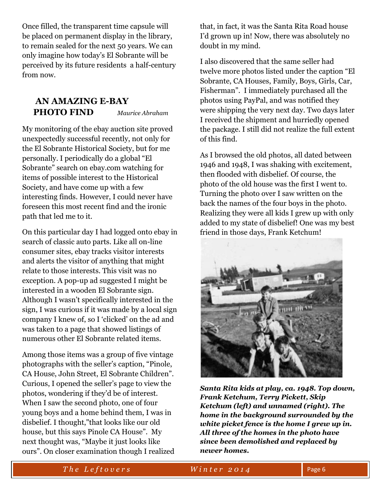Once filled, the transparent time capsule will be placed on permanent display in the library, to remain sealed for the next 50 years. We can only imagine how today's El Sobrante will be perceived by its future residents a half-century from now.

#### **AN AMAZING E-BAY PHOTO FIND** *Maurice Abraham*

My monitoring of the ebay auction site proved unexpectedly successful recently, not only for the El Sobrante Historical Society, but for me personally. I periodically do a global "El Sobrante" search on ebay.com watching for items of possible interest to the Historical Society, and have come up with a few interesting finds. However, I could never have foreseen this most recent find and the ironic path that led me to it.

On this particular day I had logged onto ebay in search of classic auto parts. Like all on-line consumer sites, ebay tracks visitor interests and alerts the visitor of anything that might relate to those interests. This visit was no exception. A pop-up ad suggested I might be interested in a wooden El Sobrante sign. Although I wasn't specifically interested in the sign, I was curious if it was made by a local sign company I knew of, so I 'clicked' on the ad and was taken to a page that showed listings of numerous other El Sobrante related items.

Among those items was a group of five vintage photographs with the seller's caption, "Pinole, CA House, John Street, El Sobrante Children". Curious, I opened the seller's page to view the photos, wondering if they'd be of interest. When I saw the second photo, one of four young boys and a home behind them, I was in disbelief. I thought,"that looks like our old house, but this says Pinole CA House". My next thought was, "Maybe it just looks like ours". On closer examination though I realized that, in fact, it was the Santa Rita Road house I'd grown up in! Now, there was absolutely no doubt in my mind.

I also discovered that the same seller had twelve more photos listed under the caption "El Sobrante, CA Houses, Family, Boys, Girls, Car, Fisherman". I immediately purchased all the photos using PayPal, and was notified they were shipping the very next day. Two days later I received the shipment and hurriedly opened the package. I still did not realize the full extent of this find.

As I browsed the old photos, all dated between 1946 and 1948, I was shaking with excitement, then flooded with disbelief. Of course, the photo of the old house was the first I went to. Turning the photo over I saw written on the back the names of the four boys in the photo. Realizing they were all kids I grew up with only added to my state of disbelief! One was my best friend in those days, Frank Ketchum!



*Santa Rita kids at play, ca. 1948. Top down, Frank Ketchum, Terry Pickett, Skip Ketchum (left) and unnamed (right). The home in the background surrounded by the white picket fence is the home I grew up in. All three of the homes in the photo have since been demolished and replaced by newer homes.*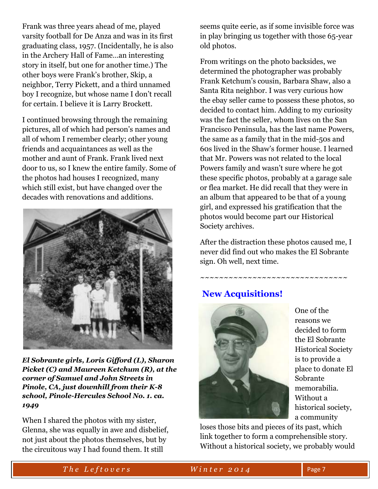Frank was three years ahead of me, played varsity football for De Anza and was in its first graduating class, 1957. (Incidentally, he is also in the Archery Hall of Fame…an interesting story in itself, but one for another time.) The other boys were Frank's brother, Skip, a neighbor, Terry Pickett, and a third unnamed boy I recognize, but whose name I don't recall for certain. I believe it is Larry Brockett.

I continued browsing through the remaining pictures, all of which had person's names and all of whom I remember clearly; other young friends and acquaintances as well as the mother and aunt of Frank. Frank lived next door to us, so I knew the entire family. Some of the photos had houses I recognized, many which still exist, but have changed over the decades with renovations and additions.



*El Sobrante girls, Loris Gifford (L), Sharon Picket (C) and Maureen Ketchum (R), at the corner of Samuel and John Streets in Pinole, CA, just downhill from their K-8 school, Pinole-Hercules School No. 1. ca. 1949*

When I shared the photos with my sister, Glenna, she was equally in awe and disbelief, not just about the photos themselves, but by the circuitous way I had found them. It still

seems quite eerie, as if some invisible force was in play bringing us together with those 65-year old photos.

From writings on the photo backsides, we determined the photographer was probably Frank Ketchum's cousin, Barbara Shaw, also a Santa Rita neighbor. I was very curious how the ebay seller came to possess these photos, so decided to contact him. Adding to my curiosity was the fact the seller, whom lives on the San Francisco Peninsula, has the last name Powers, the same as a family that in the mid-50s and 60s lived in the Shaw's former house. I learned that Mr. Powers was not related to the local Powers family and wasn't sure where he got these specific photos, probably at a garage sale or flea market. He did recall that they were in an album that appeared to be that of a young girl, and expressed his gratification that the photos would become part our Historical Society archives.

After the distraction these photos caused me, I never did find out who makes the El Sobrante sign. Oh well, next time.

~~~~~~~~~~~~~~~~~~~~~~~~~~~~~

## **New Acquisitions!**



One of the reasons we decided to form the El Sobrante Historical Society is to provide a place to donate El Sobrante memorabilia. Without a historical society, a community

loses those bits and pieces of its past, which link together to form a comprehensible story. Without a historical society, we probably would